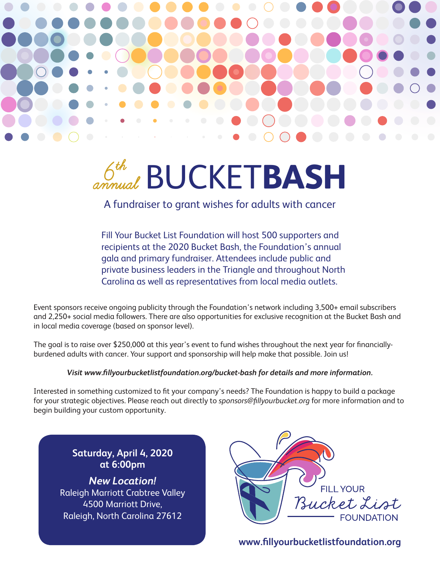

## **BUCKETBASH** annual

A fundraiser to grant wishes for adults with cancer

Fill Your Bucket List Foundation will host 500 supporters and recipients at the 2020 Bucket Bash, the Foundation's annual gala and primary fundraiser. Attendees include public and private business leaders in the Triangle and throughout North Carolina as well as representatives from local media outlets.

Event sponsors receive ongoing publicity through the Foundation's network including 3,500+ email subscribers and 2,250+ social media followers. There are also opportunities for exclusive recognition at the Bucket Bash and in local media coverage (based on sponsor level).

The goal is to raise over \$250,000 at this year's event to fund wishes throughout the next year for financiallyburdened adults with cancer. Your support and sponsorship will help make that possible. Join us!

#### *Visit www.fillyourbucketlistfoundation.org/bucket-bash for details and more information.*

Interested in something customized to fit your company's needs? The Foundation is happy to build a package for your strategic objectives. Please reach out directly to *sponsors@fillyourbucket.org* for more information and to begin building your custom opportunity.

**Saturday, April 4, 2020 at 6:00pm**

*New Location!* Raleigh Marriott Crabtree Valley 4500 Marriott Drive, Raleigh, North Carolina 27612



**www.fillyourbucketlistfoundation.org**